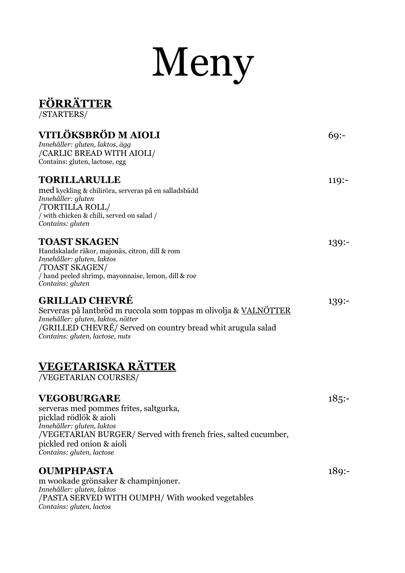# Meny

#### **FÖRRÄTTER** /STARTERS/ **VITLÖKSBRÖD M AIOLI** 69:-*Innehåller: gluten, laktos, ägg* /CARLIC BREAD WITH AIOLI/ Contains: gluten, lactose, egg **TORILLARULLE** 119:med kyckling & chiliröra, serveras på en salladsbädd *Innehåller: gluten* /TORTILLA ROLL/ / with chicken & chili, served on salad / *Contains: gluten* **TOAST SKAGEN** 139:-Handskalade räkor, majonäs, citron, dill & rom *Innehåller: gluten, laktos* /TOAST SKAGEN/ / hand peeled shrimp, mayonnaise, lemon, dill & roe *Contains: gluten* **GRILLAD CHEVRÉ** 139:- Serveras på lantbröd m ruccola som toppas m olivolja & VALNÖTTER *Innehåller: gluten, laktos, nötter* /GRILLED CHEVRÉ/ Served on country bread whit arugula salad *Contains: gluten, lactose, nuts* **VEGETARISKA RÄTTER** /VEGETARIAN COURSES/ **VEGOBURGARE** 185:serveras med pommes frites, saltgurka, picklad rödlök & aioli *Innehåller: gluten, laktos* /VEGETARIAN BURGER/ Served with french fries, salted cucumber, pickled red onion & aioli *Contains: gluten, lactose* **OUMPHPASTA** 189:-

m wookade grönsaker & champinjoner. *Innehåller: gluten, laktos* /PASTA SERVED WITH OUMPH/ With wooked vegetables *Contains: gluten, lactos*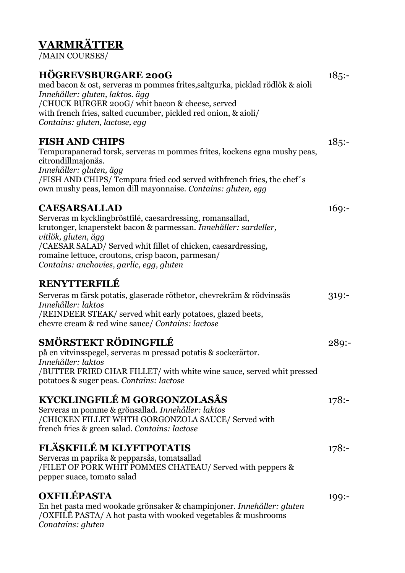# **VARMRÄTTER**

/MAIN COURSES/

#### **HÖGREVSBURGARE 200G** 185:-

med bacon & ost, serveras m pommes frites,saltgurka, picklad rödlök & aioli *Innehåller: gluten, laktos. ägg* /CHUCK BURGER 200G/ whit bacon & cheese, served with french fries, salted cucumber, pickled red onion, & aioli/ *Contains: gluten, lactose, egg*

#### **FISH AND CHIPS** 185:-

Tempurapanerad torsk, serveras m pommes frites, kockens egna mushy peas, citrondillmajonäs. *Innehåller: gluten, ägg* /FISH AND CHIPS/ Tempura fried cod served withfrench fries, the chef´s own mushy peas, lemon dill mayonnaise. *Contains: gluten, egg*

#### **CAESARSALLAD** 169:-

Serveras m kycklingbröstfilé, caesardressing, romansallad, krutonger, knaperstekt bacon & parmessan. *Innehåller: sardeller, vitlök, gluten, ägg* /CAESAR SALAD/ Served whit fillet of chicken, caesardressing, romaine lettuce, croutons, crisp bacon, parmesan/ *Contains: anchovies, garlic, egg, gluten*

#### **RENYTTERFILÉ**

| Serveras m färsk potatis, glaserade rötbetor, chevrekräm & rödvinssås | 319: |
|-----------------------------------------------------------------------|------|
| Innehåller: laktos                                                    |      |
| /REINDEER STEAK/ served whit early potatoes, glazed beets,            |      |
| chevre cream & red wine sauce/ Contains: lactose                      |      |

#### **SMÖRSTEKT RÖDINGFILÉ** 289:-

på en vitvinsspegel, serveras m pressad potatis & sockerärtor. *Innehåller: laktos* /BUTTER FRIED CHAR FILLET/ with white wine sauce, served whit pressed potatoes & suger peas. *Contains: lactose*

#### **KYCKLINGFILÉ M GORGONZOLASÅS** 178:-

Serveras m pomme & grönsallad. *Innehåller: laktos* /CHICKEN FILLET WHTH GORGONZOLA SAUCE/ Served with french fries & green salad. *Contains: lactose*

#### **FLÄSKFILÉ M KLYFTPOTATIS** 178:-

Serveras m paprika & pepparsås, tomatsallad /FILET OF PORK WHIT POMMES CHATEAU/ Served with peppers & pepper suace, tomato salad

#### **OXFILÉPASTA** 199:-

En het pasta med wookade grönsaker & champinjoner. *Innehåller: gluten* /OXFILÉ PASTA/ A hot pasta with wooked vegetables & mushrooms *Conatains: gluten*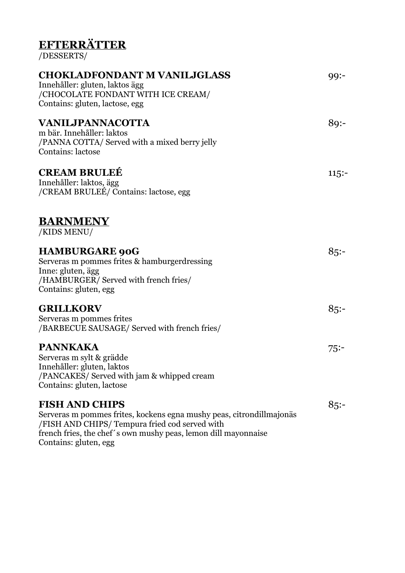## **EFTERRÄTTER**

/DESSERTS/

| <b>CHOKLADFONDANT M VANILJGLASS</b><br>Innehåller: gluten, laktos ägg<br>/CHOCOLATE FONDANT WITH ICE CREAM/<br>Contains: gluten, lactose, egg                                                                                              | $99: -$ |
|--------------------------------------------------------------------------------------------------------------------------------------------------------------------------------------------------------------------------------------------|---------|
| VANILJPANNACOTTA<br>m bär. Innehåller: laktos<br>/PANNA COTTA/ Served with a mixed berry jelly<br>Contains: lactose                                                                                                                        | $89: -$ |
| <b>CREAM BRULEÉ</b><br>Innehåller: laktos, ägg<br>/CREAM BRULEÉ/ Contains: lactose, egg                                                                                                                                                    | $115:-$ |
| <b>BARNMENY</b><br>/KIDS MENU/                                                                                                                                                                                                             |         |
| <b>HAMBURGARE 90G</b><br>Serveras m pommes frites & hamburgerdressing<br>Inne: gluten, ägg<br>/HAMBURGER/ Served with french fries/<br>Contains: gluten, egg                                                                               | 85:     |
| <b>GRILLKORV</b><br>Serveras m pommes frites<br>/BARBECUE SAUSAGE/ Served with french fries/                                                                                                                                               | $85: -$ |
| <b>PANNKAKA</b><br>Serveras m sylt & grädde<br>Innehåller: gluten, laktos<br>/PANCAKES/ Served with jam & whipped cream<br>Contains: gluten, lactose                                                                                       | 75:     |
| <b>FISH AND CHIPS</b><br>Serveras m pommes frites, kockens egna mushy peas, citrondillmajonäs<br>/FISH AND CHIPS/ Tempura fried cod served with<br>french fries, the chef's own mushy peas, lemon dill mayonnaise<br>Contains: gluten, egg | 85:     |